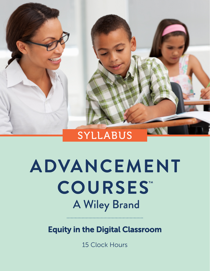

# ADVANCEMENT **COURSES" A Wiley Brand**

Equity in the Digital Classroom

15 Clock Hours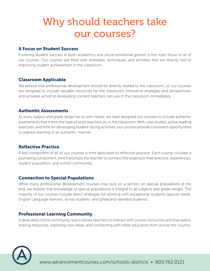# Why should teachers take our courses?

#### A Focus on Student Success

Fostering student success in both academics and social-emotional growth is the main focus of all of our courses. Our courses are filled with strategies, techniques, and activities that are directly tied to improving student achievement in the classroom.

#### Classroom Applicable

We believe that professional development should be directly related to the classroom, so our courses are designed to include valuable resources for the classroom, innovative strategies and perspectives, and activities aimed at developing content teachers can use in the classroom immediately.

#### Authentic Assessments

As every subject and grade range has its own needs, we have designed our courses to include authentic assessments that mirror the type of work teachers do in the classroom. With case studies, active reading exercises, and time for developing student-facing activities, our courses provide consistent opportunities to express learning in an authentic manner.

#### Reflective Practice

A key component of all of our courses is time dedicated to reflective practice. Each course includes a journaling component, which prompts the teacher to connect the reading to their practice, experiences, student population, and school community.

#### Connection to Special Populations

While many professional development courses may tack on a section on special populations at the end, we believe that knowledge of special populations is integral to all subjects and grade ranges. The majority of our courses include direct strategies for working with exceptional students (special needs, English Language learners, at-risk students, and gifted and talented students).

#### Professional Learning Community

A dedicated online community space allows teachers to interact with course instructors and their peers, sharing resources, exploring new ideas, and connecting with other educators from across the country.

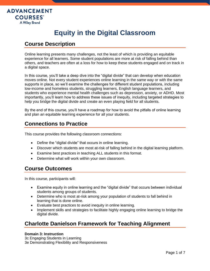

# **Equity in the Digital Classroom**

# **Course Description**

Online learning presents many challenges, not the least of which is providing an equitable experience for all learners. Some student populations are more at risk of falling behind than others, and teachers are often at a loss for how to keep these students engaged and on track in a digital space.

In this course, you'll take a deep dive into the "digital divide" that can develop when education moves online. Not every student experiences online learning in the same way or with the same supports in place, so we'll examine the challenges for different student populations, including low-income and homeless students, struggling learners, English language learners, and students who experience mental health challenges such as depression, anxiety, or ADHD. Most importantly, you'll learn how to address these issues of inequity, including targeted strategies to help you bridge the digital divide and create an even playing field for all students.

By the end of this course, you'll have a roadmap for how to avoid the pitfalls of online learning and plan an equitable learning experience for all your students.

# **Connections to Practice**

This course provides the following classroom connections:

- Define the "digital divide" that occurs in online learning.
- Discover which students are most at-risk of falling behind in the digital learning platform.
- Examine best practices in teaching ALL students in this format.
- Determine what will work within your own classroom.

# **Course Outcomes**

In this course, participants will:

- Examine equity in online learning and the "digital divide" that occurs between individual students among groups of students.
- Determine who is most at-risk among your population of students to fall behind in learning that is done online.
- Evaluate best practices to avoid inequity in online learning.
- Implement skills and strategies to facilitate highly engaging online learning to bridge the digital divide.

# **Charlotte Danielson Framework for Teaching Alignment**

#### **Domain 3: Instruction**

3c Engaging Students in Learning 3e Demonstrating Flexibility and Responsiveness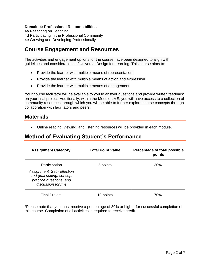#### **Domain 4: Professional Responsibilities**

4a Reflecting on Teaching 4d Participating in the Professional Community 4e Growing and Developing Professionally

# **Course Engagement and Resources**

The activities and engagement options for the course have been designed to align with guidelines and considerations of Universal Design for Learning. This course aims to:

- Provide the learner with multiple means of representation.
- Provide the learner with multiple means of action and expression.
- Provide the learner with multiple means of engagement.

Your course facilitator will be available to you to answer questions and provide written feedback on your final project. Additionally, within the Moodle LMS, you will have access to a collection of community resources through which you will be able to further explore course concepts through collaboration with facilitators and peers.

### **Materials**

• Online reading, viewing, and listening resources will be provided in each module.

# **Method of Evaluating Student's Performance**

| <b>Assignment Category</b>                                                                               | <b>Total Point Value</b> | Percentage of total possible<br>points |
|----------------------------------------------------------------------------------------------------------|--------------------------|----------------------------------------|
| Participation                                                                                            | 5 points                 | 30%                                    |
| Assignment: Self-reflection<br>and goal setting, concept<br>practice questions, and<br>discussion forums |                          |                                        |
| <b>Final Project</b>                                                                                     | 10 points                | 70%                                    |

\*Please note that you must receive a percentage of 80% or higher for successful completion of this course. Completion of all activities is required to receive credit.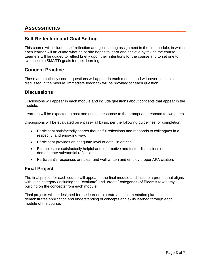### **Assessments**

#### **Self-Reflection and Goal Setting**

This course will include a self-reflection and goal setting assignment in the first module, in which each learner will articulate what he or she hopes to learn and achieve by taking the course. Learners will be guided to reflect briefly upon their intentions for the course and to set one to two specific (SMART) goals for their learning.

#### **Concept Practice**

These automatically scored questions will appear in each module and will cover concepts discussed in the module. Immediate feedback will be provided for each question.

#### **Discussions**

Discussions will appear in each module and include questions about concepts that appear in the module.

Learners will be expected to post one original response to the prompt and respond to two peers.

Discussions will be evaluated on a pass–fail basis, per the following guidelines for completion:

- Participant satisfactorily shares thoughtful reflections and responds to colleagues in a respectful and engaging way.
- Participant provides an adequate level of detail in entries.
- Examples are satisfactorily helpful and informative and foster discussions or demonstrate substantial reflection.
- Participant's responses are clear and well written and employ proper APA citation.

#### **Final Project**

The final project for each course will appear in the final module and include a prompt that aligns with each category (including the "evaluate" and "create" categories) of Bloom's taxonomy, building on the concepts from each module.

Final projects will be designed for the learner to create an implementation plan that demonstrates application and understanding of concepts and skills learned through each module of the course.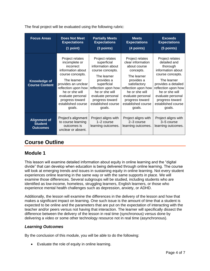The final project will be evaluated using the following rubric:

| <b>Focus Areas</b>                                       | <b>Does Not Meet</b><br><b>Expectations</b><br>(1 point)                                                                                                                                                                                      | <b>Partially Meets</b><br><b>Expectations</b><br>(3 points)                                                                                                                                                                          | <b>Meets</b><br><b>Expectations</b><br>(4 points)                                                                                                                                                                               | <b>Exceeds</b><br><b>Expectations</b><br>(5 points)                                                                                                                                                                                         |
|----------------------------------------------------------|-----------------------------------------------------------------------------------------------------------------------------------------------------------------------------------------------------------------------------------------------|--------------------------------------------------------------------------------------------------------------------------------------------------------------------------------------------------------------------------------------|---------------------------------------------------------------------------------------------------------------------------------------------------------------------------------------------------------------------------------|---------------------------------------------------------------------------------------------------------------------------------------------------------------------------------------------------------------------------------------------|
| <b>Knowledge of</b><br><b>Course Content</b>             | Project relates<br>incomplete or<br>incorrect<br>information about<br>course concepts.<br>The learner<br>provides an unclear<br>reflection upon how<br>he or she will<br>evaluate personal<br>progress toward<br>established course<br>goals. | Project relates<br>superficial<br>information about<br>course concepts.<br>The learner<br>provides a<br>superficial<br>reflection upon how<br>he or she will<br>evaluate personal<br>progress toward<br>established course<br>goals. | Project relates<br>clear information<br>about course<br>concepts.<br>The learner<br>provides a<br>satisfactory<br>reflection upon how<br>he or she will<br>evaluate personal<br>progress toward<br>established course<br>goals. | Project relates<br>detailed and<br>thorough<br>information about<br>course concepts.<br>The learner<br>provides a detailed<br>reflection upon how<br>he or she will<br>evaluate personal<br>progress toward<br>established course<br>goals. |
| <b>Alignment of</b><br><b>Student</b><br><b>Outcomes</b> | Project's alignment<br>to course learning<br>outcomes is<br>unclear or absent.                                                                                                                                                                | Project aligns with<br>$1-2$ course<br>learning outcomes.                                                                                                                                                                            | Project aligns with<br>2-3 course<br>learning outcomes.                                                                                                                                                                         | Project aligns with<br>3–5 course<br>learning outcomes.                                                                                                                                                                                     |

# **Course Outline**

#### **Module 1**

This lesson will examine detailed information about equity in online learning and the "digital divide" that can develop when education is being delivered through online learning. The course will look at emerging trends and issues in sustaining equity in online learning. Not every student experiences online learning in the same way or with the same supports in place. We will examine those differences. Several subgroups will be studied, including students who are identified as low-income, homeless, struggling learners, English learners, or those who experience mental health challenges such as depression, anxiety, or ADHD.

Additionally, the lesson will examine the differences in the delivery of the lesson and how that makes a significant impact on learning. One such issue is the amount of time that a student is expected to be online and the parameters that are put on the expectation of interacting with the teacher and/or peers versus not having that interaction. The learner will specifically dissect the difference between the delivery of the lesson in real time (synchronous) versus done by delivering a video or some other technology resource not in real time (asynchronous).

#### *Learning Outcomes*

By the conclusion of this module, you will be able to do the following:

• Evaluate the role of equity in online learning.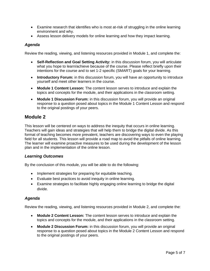- Examine research that identifies who is most at-risk of struggling in the online learning environment and why.
- Assess lesson delivery models for online learning and how they impact learning.

#### *Agenda*

Review the reading, viewing, and listening resources provided in Module 1, and complete the:

- **Self-Reflection and Goal Setting Activity:** in this discussion forum, you will articulate what you hope to learn/achieve because of the course. Please reflect briefly upon their intentions for the course and to set 1-2 specific (SMART) goals for your learning.
- **Introductory Forum:** in this discussion forum, you will have an opportunity to introduce yourself and meet other learners in the course.
- **Module 1 Content Lesson:** The content lesson serves to introduce and explain the topics and concepts for the module, and their applications in the classroom setting.
- **Module 1 Discussion Forum:** in this discussion forum, you will provide an original response to a question posed about topics in the Module 1 Content Lesson and respond to the original postings of your peers.

#### **Module 2**

This lesson will be centered on ways to address the inequity that occurs in online learning. Teachers will gain ideas and strategies that will help them to bridge the digital divide. As this format of teaching becomes more prevalent, teachers are discovering ways to even the playing field for all students. This lesson will provide a road map to avoid the pitfalls of online learning. The learner will examine proactive measures to be used during the development of the lesson plan and in the implementation of the online lesson.

#### *Learning Outcomes*

By the conclusion of this module, you will be able to do the following:

- Implement strategies for preparing for equitable teaching.
- Evaluate best practices to avoid inequity in online learning.
- Examine strategies to facilitate highly engaging online learning to bridge the digital divide.

#### *Agenda*

Review the reading, viewing, and listening resources provided in Module 2, and complete the:

- **Module 2 Content Lesson:** The content lesson serves to introduce and explain the topics and concepts for the module, and their applications in the classroom setting.
- **Module 2 Discussion Forum:** in this discussion forum, you will provide an original response to a question posed about topics in the Module 2 Content Lesson and respond to the original postings of your peers.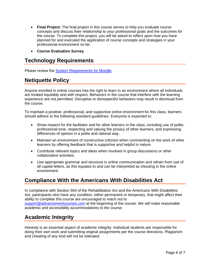- **Final Project:** The final project in this course serves to help you evaluate course concepts and discuss their relationship to your professional goals and the outcomes for the course. To complete this project, you will be asked to reflect upon how you have planned for and executed the application of course concepts and strategies in your professional environment so far.
- **Course Evaluation Survey**

# **Technology Requirements**

Please review the [System Requirements for Moodle.](http://kb.advancementcourses.com/system-requirements-for-moodle/)

# **Netiquette Policy**

Anyone enrolled in online courses has the right to learn in an environment where all individuals are treated equitably and with respect. Behaviors in the course that interfere with the learning experience are not permitted. Disruptive or disrespectful behaviors may result in dismissal from the course.

To maintain a positive, professional, and supportive online environment for this class, learners should adhere to the following standard guidelines. Everyone is expected to:

- Show respect for the facilitator and for other learners in the class, including use of polite, professional tone, respecting and valuing the privacy of other learners, and expressing differences of opinion in a polite and rational way.
- Maintain an environment of constructive criticism when commenting on the work of other learners by offering feedback that is supportive and helpful in nature.
- Contribute relevant topics and ideas when involved in group discussions or other collaborative activities.
- Use appropriate grammar and structure in online communication and refrain from use of all capital letters, as this equates to and can be interpreted as shouting in the online environment.

# **Compliance With the Americans With Disabilities Act**

In compliance with Section 504 of the Rehabilitation Act and the Americans With Disabilities Act, participants who have any condition, either permanent or temporary, that might affect their ability to complete this course are encouraged to reach out to [support@advancementcourses.com](mailto:support@advancementcourses.com) at the beginning of the course. We will make reasonable academic and accessibility accommodations to the course.

# **Academic Integrity**

Honesty is an essential aspect of academic integrity. Individual students are responsible for doing their own work and submitting original assignments per the course directions. Plagiarism and cheating of any kind will not be tolerated.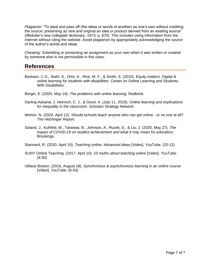*Plagiarize*: "To steal and pass off (the ideas or words of another) as one's own without crediting the source; presenting as new and original an idea or product derived from an existing source" (*Webster's new collegiate dictionary*, 1973, p. 870). This includes using information from the Internet without citing the website. Avoid plagiarism by appropriately acknowledging the source of the author's words and ideas.

*Cheating*: Submitting or presenting an assignment as your own when it was written or created by someone else is not permissible in this class.

# **References**

- Basham, J. D., Stahl, S., Ortiz, K., Rice, M. F., & Smith, S. (2015). *Equity matters: Digital & online learning for students with disabilities.* Center on Online Learning and Students With Disabilities.
- Bergin, E. (2020, May 16). *The problems with online learning.* Redbrick.
- Darling-Aduana, J. Heinrich, C. J., & Good, A. (July 11, 2019). *Online learning and implications for inequality in the classroom.* Scholars Strategy Network.
- Morton, N. (2020, April 12). Should schools teach anyone who can get online or no one at all? *The Hechinger Report.*
- Soland, J., Kuhfeld, M., Taraswa, B., Johnson, A., Ruzek, E., & Liu, J. (2020, May 27). *The impact of COVID-19 on student achievement and what it may mean for educators.*  Brookings.
- Stannard, R. (2020, April 10). *Teaching online: Advanced ideas* [Video]. YouTube. (20:12)
- SUNY Online Teaching. (2017, April 10). *10 myths about teaching online* [Video]. YouTube. (8:30)
- UMass Boston. (2016, August 18). *Synchronous & asynchronous learning in an online course* [Video]. YouTube. (6:43)